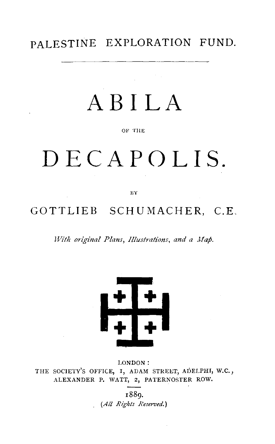**PALESTINE EXPLORATION FUND.** 

# **AB ILA**

#### OF THE

# **DECAPOLIS.**

BY

### **GOTTLIEB SCHUMACHER, C.E.**

*With original Plans, Illustrations, and a Map.* 



LONDON: THE SOCIETY'S OFFICE, I, ADAM STREET, ADELPHI, W.C., ALEXANDER P. WATT, 2, PATERNOSTER ROW.

> 1889. *(All Rights Reserved.)*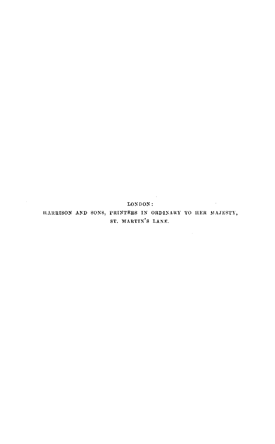**LONDON:**  HARRISON AND SONS, PRINTERS IN ORDINARY TO HER MAJESTY, ST. MARTIN'S LANE.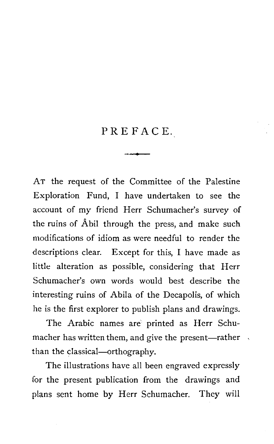# PREFACE. --

AT the request of the Committee of the Palestine Exploration Fund, I have undertaken to see the account of my friend Herr Schumacher's survey of the ruins of Abil through the press, and make such modifications of idiom as were needful to render the descriptions clear. Except for this, I have made as little alteration as possible, considering that Herr Schumacher's own words would best describe the interesting ruins of Abila of the Decapolis, of which he is the first explorer to publish plans and drawings.

The Arabic names are printed as Herr Schumacher has written them, and give the present-rather than the classical-orthography.

The illustrations have all been engraved expressly for the present publication from the drawings and plans sent home by Herr Schumacher. They will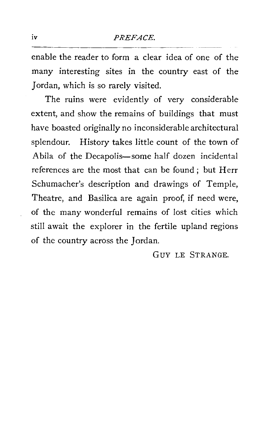enable the reader to form a clear idea of one of the many interesting sites in the country east of the Jordan, which is so rarely visited.

The ruins were evidently of very considerable extent, and show the remains of buildings that must have boasted originally no inconsiderable architectural splendour. History takes little count of the town of Abila of the Decapolis-some half dozen incidental references are the most that can be found; but Herr Schumacher's description and drawings of Temple, Theatre, and Basilica are again proof, if need were, of the many wonderful remains of lost cities which still await the explorer in the fertile upland regions of the country across the Jordan.

Guv LE STRANGE.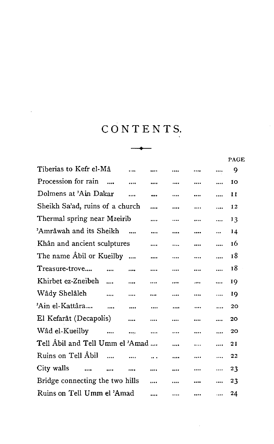l,

|                                                  | CONTENTS. |  |  |   |  |              |  |  |
|--------------------------------------------------|-----------|--|--|---|--|--------------|--|--|
|                                                  |           |  |  |   |  |              |  |  |
|                                                  |           |  |  |   |  | PAGE         |  |  |
| Tiberias to Kefr el-Mâ                           |           |  |  |   |  | 9            |  |  |
| Procession for rain                              |           |  |  |   |  | 10           |  |  |
| Dolmens at 'Ain Dakar                            |           |  |  |   |  | $\mathbf{I}$ |  |  |
| Sheikh Sa'ad, ruins of a church                  |           |  |  |   |  | 12           |  |  |
| Thermal spring near Mzeirib                      |           |  |  |   |  | 13           |  |  |
| 'Amrâwah and its Sheikh                          |           |  |  |   |  | 14           |  |  |
| Khân and ancient sculptures                      |           |  |  |   |  | 16           |  |  |
| The name Abil or Kueilby                         |           |  |  |   |  | 18           |  |  |
| Treasure-trove                                   |           |  |  |   |  | 18           |  |  |
| Khirbet ez-Zneibeh<br>$\ddotsc$                  |           |  |  |   |  | 19           |  |  |
| Wâdy Shelâleh<br>$\ddotsc$                       | $\cdots$  |  |  |   |  | 19           |  |  |
| 'Ain el-Kattâra                                  | $\cdots$  |  |  |   |  | 20           |  |  |
| El Kefarât (Decapolis)                           |           |  |  |   |  | 20           |  |  |
| Wâd el-Kueilby<br>$\cdots$                       | $\ddotsc$ |  |  |   |  | 20           |  |  |
| Tell Abil and Tell Umm el 'Amad                  |           |  |  | . |  | 21           |  |  |
| Ruins on Tell Âbil<br>$\sim$                     |           |  |  |   |  | 22           |  |  |
| City walls<br>$\sim$<br>$\overline{\phantom{a}}$ | $\cdots$  |  |  |   |  | 23           |  |  |
| Bridge connecting the two hills                  |           |  |  |   |  | 23           |  |  |
| Ruins on Tell Umm el 'Amad                       |           |  |  |   |  | 24           |  |  |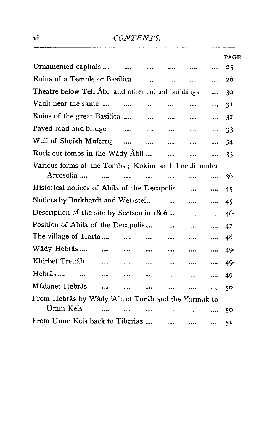|                                                     |                      |                           |          |          |          | PAGE |  |  |
|-----------------------------------------------------|----------------------|---------------------------|----------|----------|----------|------|--|--|
| Ornamented capitals                                 | $\sim$ $\sim$        | $\cdots$                  |          |          |          | 25   |  |  |
| Ruins of a Temple or Basilica                       |                      | $\cdots$                  |          | $\cdots$ |          | 26   |  |  |
| Theatre below Tell Abil and other ruined buildings  |                      |                           |          |          | $\cdots$ | 30   |  |  |
| Vault near the same                                 | $\cdots$             | $\dddotsc$                | $\cdots$ | $\cdots$ | .        | 31   |  |  |
| Ruins of the great Basilica                         |                      | $\cdots$                  | $\cdots$ | $\cdots$ | $\cdots$ | 32   |  |  |
| Paved road and bridge                               | $\sim$ $\sim$ $\sim$ | <b>Service</b> Contractor | $\cdots$ |          | $\cdots$ | 33   |  |  |
| Weli of Sheikh Muferrej                             |                      |                           |          | $\cdots$ | $\cdots$ | 34   |  |  |
| Rock cut tombs in the Wâdy Âbil                     |                      |                           |          | $\cdots$ |          | 35   |  |  |
| Various forms of the Tombs; Kokim and Loculi under  |                      |                           |          |          |          |      |  |  |
| Arcosolia<br>$\sim$ $\sim$                          |                      |                           |          |          | $\cdots$ | 36   |  |  |
| Historical notices of Abila of the Decapolis        |                      |                           |          |          |          | 45   |  |  |
| Notices by Burkhardt and Wetzstein                  |                      |                           | $\cdots$ | $\cdots$ |          | 45   |  |  |
| Description of the site by Seetzen in 1806          |                      |                           |          | $\cdots$ |          | 46   |  |  |
| Position of Abila of the Decapolis                  |                      |                           | $\cdots$ | $\cdots$ | $\cdots$ | 47   |  |  |
| The village of Harta                                | $\ddotsc$            | $\cdots$                  |          |          |          | 48   |  |  |
| Wâdy Hebrâs<br>                                     |                      |                           |          |          |          | 49   |  |  |
| Khirbet Treitâb<br>                                 |                      | ۰.                        | $\cdots$ | $\cdots$ |          | 49   |  |  |
| Hebrâs<br>                                          |                      |                           |          | $\cdots$ |          | 49   |  |  |
| Mêdanet Hebrâs<br>$\cdots$                          |                      |                           |          |          | $\cdots$ | 50   |  |  |
| From Hebrâs by Wâdy 'Ain et Turâb and the Yarmuk to |                      |                           |          |          |          |      |  |  |
| Umm Keis<br>$\cdots$                                |                      |                           |          |          |          | 50   |  |  |
| From Umm Keis back to Tiberias                      |                      |                           |          | $\cdots$ | $\cdots$ | 51   |  |  |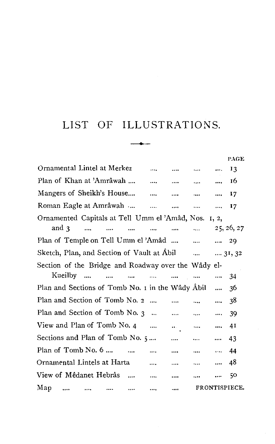### LIST OF ILLUSTRATIONS.

|                                                      |                   |          |                 |                                            |          | <b>PAGE</b> |
|------------------------------------------------------|-------------------|----------|-----------------|--------------------------------------------|----------|-------------|
| Ornamental Lintel at Merkez                          |                   |          |                 | التعطاء المتنب المطلب المتعدد              |          | $_{13}$     |
| Plan of Khan at 'Amrâwah       16                    |                   |          |                 |                                            |          |             |
| Mangers of Sheikh's House     17                     |                   |          |                 |                                            |          |             |
| Roman Eagle at Amrâwah      17                       |                   |          |                 |                                            |          |             |
| Ornamented Capitals at Tell Umm el 'Amâd, Nos. 1, 2, |                   |          |                 |                                            |          |             |
| and $\mathbf{3}$<br>$\sim$ $\sim$                    | $\cdots$          | $\cdots$ | and the same of |                                            |          | 25, 26, 27  |
| Plan of Temple on Tell Umm el 'Amâd    29            |                   |          |                 |                                            |          |             |
| Sketch, Plan, and Section of Vault at Abil   31, 32  |                   |          |                 |                                            |          |             |
| Section of the Bridge and Roadway over the Wâdy el-  |                   |          |                 |                                            |          |             |
| Kueilby                                              | <b>Contractor</b> |          |                 | and the same of the                        |          | -34         |
| Plan and Sections of Tomb No. 1 in the Wâdy Abil     |                   |          |                 |                                            |          | 36          |
| Plan and Section of Tomb No. 2                       |                   |          |                 | $\mathbf{r} = \mathbf{r} \cdot \mathbf{r}$ |          | 38          |
| Plan and Section of Tomb No. 3     39                |                   |          |                 |                                            |          |             |
| View and Plan of Tomb No. 4                          |                   |          |                 | $\cdots$ and $\cdots$ 41                   |          |             |
| Sections and Plan of Tomb No. 5                      |                   |          |                 | and the same and                           |          | 43          |
|                                                      |                   |          |                 |                                            |          |             |
|                                                      |                   |          |                 |                                            |          |             |
| View of Mêdanet Hebrâs                               |                   |          | $\cdots$        | sake the con-                              | $\cdots$ | 50          |
| Мар                                                  |                   |          |                 | FRONTISPIECE.                              |          |             |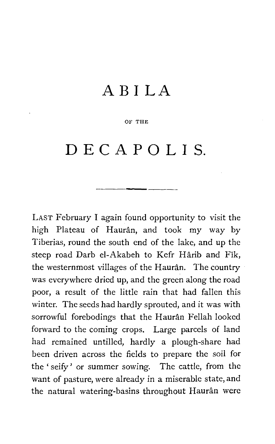## **ABI LA**

#### OF THE

# **DE CAP 0 LIS.**

LAST February I again found opportunity to visit the high Plateau of Haurân, and took my way by Tiberias, round the south end of the lake, and up the steep road Darb el-Akabeh to Kefr Harib and Fik, the westernmost villages of the Haurân. The country was everywhere dried up, and the green along the road poor, a result of the little rain that had fallen this winter. The seeds had hardly sprouted, and it was with sorrowful forebodings that the Hauran Fellah looked forward to the coming crops. Large parcels of land had remained untilled, hardly a plough-share had been driven across the fields to prepare the soil for the ' seify' or summer sowing. The cattle, from the want of pasture, were already in a miserable state, and the natural watering-basins throughout Haurân were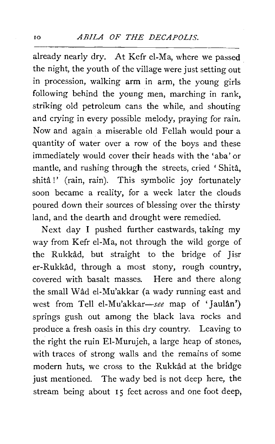already nearly dry. At Kefr el-Ma, where we passed the night, the youth of the village were just setting out in procession, walking arm in arm, the young girls following behind the young men, marching in rank, striking old petroleum cans the while, and shouting and crying in every possible melody, praying for rain. Now and again a miserable old Fellah would pour a quantity of water over a row of the boys and these immediately would cover their heads with the 'aba' or mantle, and rushing through the streets, cried 'Shita, shitâ!' (rain, rain). This symbolic joy fortunately soon became a reality, for a week later the clouds poured down their sources of blessing over the thirsty land, and the dearth and drought were remedied.

Next day I pushed further eastwards, taking my way from Kefr el-Ma, not through the wild gorge of the Rukkad, but straight to the bridge of Jisr er-Rukkad, through a most stony, rough country, covered with basalt masses. Here and there along the small Wad el-Mu'akkar (a wady running east and west from Tell el-Mu'akkar-see map of 'Jaulân') springs gush out among the black lava rocks and produce a fresh oasis in this dry country. Leaving to the right the ruin El-Murujeh, a large heap of stones, with traces of strong walls and the remains of some modern huts, we cross to the Rukkad at the bridge just mentioned. The wady bed is not deep here, the stream being about  $I_5$  feet across and one foot deep,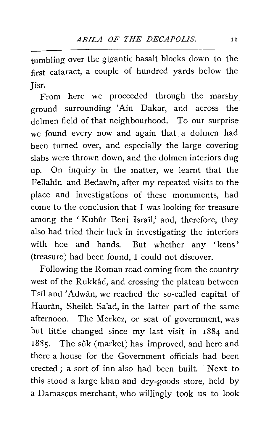tumbling over the gigantic basalt blocks down to the first cataract, a couple of hundred yards below the Jisr.

From here we proceeded through the marshy ground surrounding 'Ain Dakar, and across the dolmen field of that neighbourhood. To our surprise we found every now and again that a dolmen had been turned over, and especially the large covering slabs were thrown down, and the dolmen interiors dug up. On inquiry in the matter, we learnt that the Fellahin and Bedawin, after my repeated visits to the place and investigations of these monuments, had come to the conclusion that I was looking for treasure among the 'Kubûr Beni Israîl,' and, therefore, they also had tried their luck in investigating the interiors with hoe and hands. But whether any 'kens' (treasure) had been found, I could not discover.

Following the Roman road coming from the country west of the Rukkad, and crossing the plateau between Tsil and 'Adwan, we reached the so-called capital of Hauran, Sheikh Sa'ad, in the latter part of the same afternoon. The Merkez, or seat of government, was but little changed since my last visit in 1884 and 1885. The sûk (market) has improved, and here and there a house for the Government officials had been erected; a sort of inn also had been built. Next to this stood a large khan and dry-goods store, held by a Damascus merchant, who willingly took us to look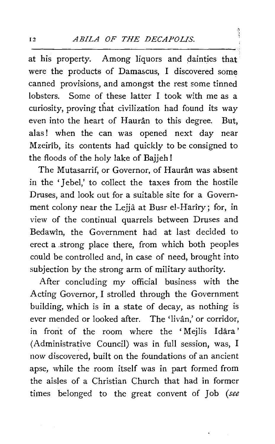Ĵ

at his property. Among liquors and dainties that were the products of Damascus, I discovered some canned provisions, and amongst the rest some tinned lobsters. Some of these latter I took with me as a curiosity, proving that civilization had found its way even into the heart of Haurân to this degree. But, alas! when the can was opened next day near Mzeirib, its contents had quickly to be consigned to the floods of the holy lake of Bajjeh I

The Mutasarrif, or Governor, of Haurân was absent in the 'Jebel,' to collect the taxes from the hostile Druses, and look out for a suitable site for a Government colony near the Lejja at Busr el-Hariry; for, in view of the continual quarrels between Druses and Bedawin, the Government had at last decided to erect a .strong place there, from which both peoples could be controlled and, in case of need, brought into subjection by the strong arm of military authority.

After concluding my official business with the Acting Governor, I strolled through the Government building, which is in a state of decay, as nothing is ever mended or looked after. The 'livân,' or corridor, in front of the room where the 'Mejlis Idara' (Administrative Council) was in full session, was, I now discovered, built on the foundations of an ancient apse, while the room itself was in part formed from the aisles of a Christian Church that had in former times belonged to the great convent of Job *(see*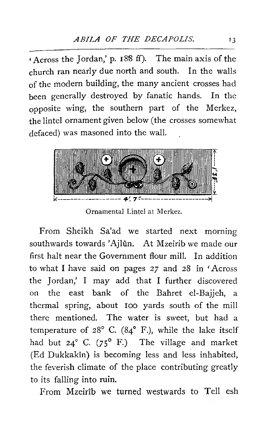$\cdot$  Across the Jordan,' p. 188 ff). The main axis of the church ran nearly due north and south. In the walls of the modern building, the many ancient crosses had been generally destroyed by fanatic hands. In the Qpposite wing, the southern part of the Merkez, the lintel ornament given below (the crosses somewhat defaced) was masoned into the wall.



Ornamental Lintel at Merkez.

From Sheikh Sa'ad we started next morning southwards towards 'Ajlûn. At Mzeirib we made our first halt near the Government flour mill. In addition to what I have said on pages *27* and 28 in 'Across the Jordan,' I may add that I further discovered on the east bank of the Bahret el-Bajjeh, a thermal spring, about 100 yards south of the mill there mentioned. The water is sweet, but had a temperature of  $28^{\circ}$  C. ( $84^{\circ}$  F.), while the lake itself had but  $24^{\circ}$  C. (75° F.) The village and market (Ed Dukkakin) is becoming less and less inhabited, the feverish climate of the place contributing greatly to its falling into ruin.

From Mzeirib we turned westwards to Tell esh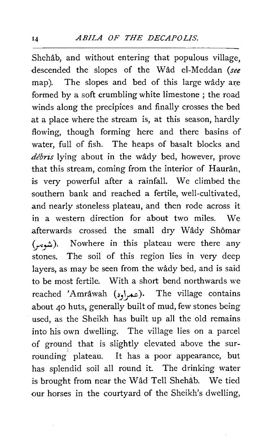Shehab, and without entering that populous village, descended the slopes of the Wad el-Meddan *(see*  map). The slopes and bed of this large wâdy are formed by a soft crumbling white limestone ; the road winds along the precipices and finally crosses the bed at a place where the stream is, at this season, hardly flowing, though forming here and there basins of water, full of fish. The heaps of basalt blocks and *debrzs* lying about in the wady bed, however, prove that this stream, coming from the interior of Hauran, is very powerful after a rainfall. We climbed the southern bank and reached a fertile, well-cultivated, and nearly stoneless plateau, and then rode across it in a western direction for about two miles. We afterwards crossed the small dry Wâdy Shômar (شومه). Nowhere in this plateau were there any stones. The soil of this region lies in very deep layers, as may be seen from the wady bed, and is said to be most fertile. With a short bend northwards we reached 'Amrâwah ( $x_1$ ). The village contains about 40 huts, generally built of mud, few stones being used, as the Sheikh has built up all the old remains into his own dwelling. The village lies on a parcel of ground that is slightly elevated above the surrounding' plateau. It has a poor appearance, but has splendid soil all round it. The drinking water is brought from near the Wad Tell Shehab. We tied our horses in the courtyard of the Sheikh's dwelling,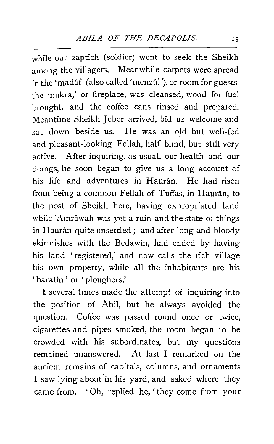while our zaptich (soldier) went to seek the Sheikh among the villagers. Meanwhile carpets were spread in the 'madâf' (also called 'menzûl'), or room for guests the 'nukra,' or fireplace, was cleansed, wood for fuel brought, and the coffee cans rinsed and prepared. Meantime Sheikh Jeber arrived, bid us welcome and sat down beside us. He was an old but well-fed and pleasant-looking Fellah, half blind, but still very active. After inquiring, as usual, our health and our doings, he soon began to give us a long account of his life and adventures in Hauran. He had risen from being a common Fellah of Tuffas, in Haurân, to the post of Sheikh here, having expropriated land while 'Amrâwah was yet a ruin and the state of things in Haurân quite unsettled ; and after long and bloody skirmishes with the Bedawin, had ended by having his land 'registered,' and now calls the rich village his own property, while all the inhabitants are his ' haratîn ' or ' ploughers.'

I several times made the attempt of inquiring into the position of Abil, but he always avoided the question. Coffee was passed round once or twice, cigarettes and pipes smoked, the room began to be crowded with his subordinates, but my questions remained unanswered. At last I remarked on the ancient remains of capitals, columns, and ornaments I saw lying about in his yard, and asked where they came from. 'Oh/ replied he, 'they come from your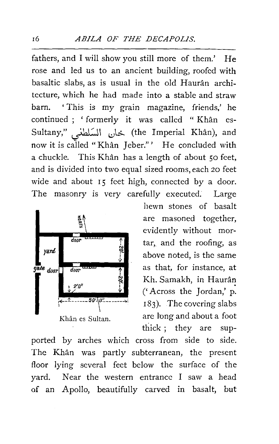fathers, and I will show you still more of them.' He rose and led us to an ancient building, roofed with basaltic slabs, as is usual in the old Hauran architecture, which he had made into a stable and straw barn. ' This is my grain magazine, friends,' he continued ; 'formerly it was called " Khân es-Sultany," ~I *,,),:!....* (the Imperial Khan), and now it is called "Khân Jeber."' He concluded with a chuckle. This Khân has a length of about 50 feet, and is divided into two equal sized rooms, each 20 feet wide and about 15 feet high, connected by a door. The masonry is very carefully executed. Large



hewn stones of basalt are masoned together, evidently without mortar, and the roofing, as above noted, is the same as that, for instance, at Kh. Samakh, in Haurân ('Across the Jordan,' p. 183). The covering slabs are long and about a foot thick ; they are sup-

ported by arches which cross from side to side. The Khân was partly subterranean, the present floor lying several feet below the surface of the yard. Near the western entrance I saw a head of an Apollo, beautifully carved in basalt, but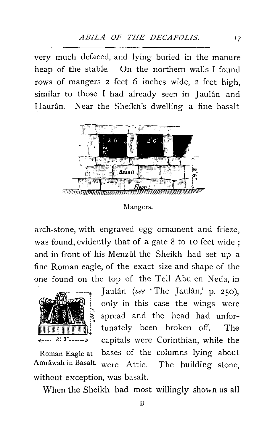very much defaced, and lying buried in the manure heap of the stable. On the northern walls I found rows of mangers 2 feet 6 inches wide, 2 feet high, similar to those I had already seen in Jaulân and Haurân. Near the Sheikh's dwelling a fine basalt



Mangers.

arch-5tone, with engraved egg ornament and frieze, was found, evidently that of a gate 8 to IO feet wide ; and in front of his Menzûl the Sheikh had set up a fine Roman eagle, of the exact size and shape of the one found on the top of the Tell Abu en Neda, in



Jaulân *(see* 'The Jaulân,' p. 250), only in this case the wings were spread and the head had unfortunately been broken off. The  $\ldots$ 2.  $\frac{3}{2}$   $\ldots$  capitals were Corinthian, while the Roman Eagle at bases of the columns lying aboul Amrawah in Basalt. were Attic. The building stone, without exception, was basalt.

When the Sheikh had most willingly shown us all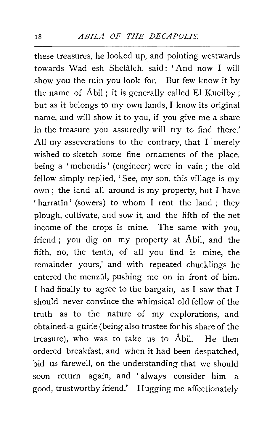these treasures, he looked up, and pointing westwards towards Wad esh Shelaleh, said: 'And now I will show you the ruin you look for. But few know it by the name of  $\hat{A}$ bil; it is generally called El Kueilby; but as it belongs to my own lands, I know its original name, and will show it to you, if you give me a share in the treasure you assuredly will try to find there.' All my asseverations to the contrary, that  $I$  merely wished to sketch some fine ornaments of the place, being a 'mehendis' (engineer) were in vain; the old fellow simply replied, 'See, my son, this village is my own; the land all around is my property, but I have 'harratin' (sowers) to whom I rent the land ; they plough, cultivate, and sow .it, and the fifth of the net income of the crops is mine. The same with you, friend ; you dig on my property at Abil, and the fifth, no, the tenth, of all you find is mine, the remainder yours,' and with repeated chucklings he entered the menzûl, pushing me on in front of him. I had finally to agree to the bargain, as I saw that I should never convince the whimsical old fellow of the truth as to the nature of my explorations, and obtained a guirle (being also trustee for his share of the treasure), who was to take us to Abil. He then ordered breakfast, and when it had been despatched, bid us farewell, on the understanding that we should soon return again, and 'always consider him a good, trustworthy friend.' Hugging me affectionately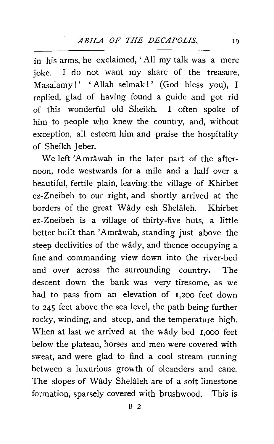in his arms, he exclaimed, 'All my talk was a mere joke. I do not want my share of the treasure, Masalamy!' 'Allah selmak!' (God bless you), I replied, glad of having found a guide and got rid of this wonderful old Sheikh. I often spoke of him to people who knew the country, and, without exception, all esteem him and praise the hospitality of Sheikh Jeber.

We left 'Amrâwah in the later part of the afternoon, rode westwards for a mile and a half over a beautiful, fertile plain, leaving the village of Khirbet ez-Zneibeh to our right, and shortly arrived at the borders of the great Wady esh Shelaleh. Khirbet ez-Zneibeh is a village of thirty-five huts, a little better built than 'Amrâwah, standing just above the steep declivities of the wady, and thence occupying a fine and commanding view down into the river-bed and over across the surrounding country. The descent down the bank was very tiresome, as we had to pass from an elevation of 1,200 feet down to 245 feet above the sea level, the path being further rocky, winding, and steep, and the temperature high. When at last we arrived at the wâdy bed 1,000 feet below the plateau, horses and men were covered with sweat, and were glad to find a cool stream running between a luxurious growth of oleanders and cane. The slopes of Wâdy Shelâleh are of a soft limestone formation, sparsely covered with brushwood. This is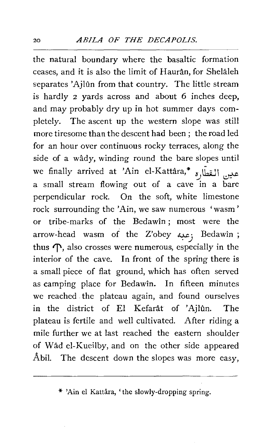the natural boundary where the basaltic formation ceases, and it is also the limit of Hauran, for Shelaleh separates 'Ajlûn from that country. The little stream is hardly 2 yards across and about 6 inches deep, and may probably dry up in hot summer days completely. The ascent up the western slope was still more tiresome than the descent had been; the road led for an hour over continuous rocky terraces, along the side of a wâdy, winding round the bare slopes until we finally arrived at 'Ain el-Kattâra,\*  $\frac{s}{\sqrt{2}}$  ،  $\frac{s}{\sqrt{2}}$ a small stream flowing out of a cave in a bare perpendicular rock. On the soft, white limestone rock surrounding the 'Ain, we saw numerous 'wasm' or tribe-marks of the Bedawin ; most were the arrow-head wasm of the Z'obey عبه; Bedawîn ; thus  $\mathcal{T}$ , also crosses were numerous, especially in the interior of the cave. In front of the spring there is a small piece of flat ground, which has often served as camping place for Bedawin. In fifteen minutes we reached the plateau again, and found ourselves in the district of El Kefarât of 'Ajlûn. The plateau is fertile and well cultivated. After riding a mile further we at last reached the eastern shoulder of Wad el-Kueilby, and on the other side appeared Abil. The descent down the slopes was more easy,

\* 'Ain el Kattâra, 'the slowly-dropping spring.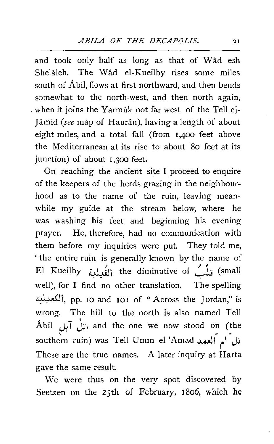and took only half as long as that of Wad esh Shelâleh. The Wâd el-Kueilby rises some miles south of Abil, flows at first northward, and then bends somewhat to the north-west, and then north again, when it joins the Yarmûk not far west of the Tell ej-Jâmid *(see* map of Haurân), having a length of about eight miles, and a total fall (from 1,400 feet above the Mediterranean at its rise to about So feet at its junction) of about 1,300 feet.

On reaching the ancient site I proceed to enquire of the keepers of the herds grazing in the neighbourhood as to the name of the ruin, leaving meanwhile my guide at the stream below, where he was washing his feet and beginning his evening prayer. He, therefore, had no communication with them before my inquiries were put. They told me, ' the entire ruin is generally known by the name of El Kueilby إلْقُدلدة (small the diminutive of the Small well), for I find no other translation. The spelling ~1, pp. IO and 101 of "Across the Jordan," is wrong. The hill to the north is also named Tell Abil تلّ أم آلبل , and the one we now stood on (the southern ruin) was Tell Umm el 'Amad تل أم العمد. These are the true names. A later inquiry at Harta gave the same result.

We were thus on the very spot discovered by Seetzen on the 25th of February, 1806, which he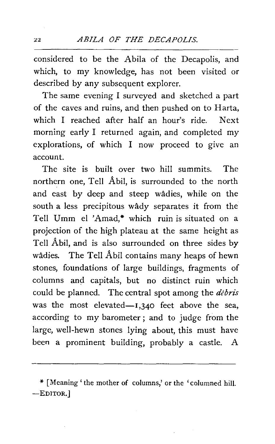considered to be the Abila of the Decapolis, and which, to my knowledge, has not been visited or described by any subsequent explorer.

The same evening I surveyed and sketched a part of the caves and ruins, and then pushed on to Harta, which I reached after half an hour's ride. Next morning early I returned again, and completed my explorations, of which I now proceed to give an account.

The site is built over two hill summits. The northern one, Tell Abil, is surrounded to the north and east by deep and steep wadies, while on the south a less precipitous wady separates it from the Tell Umm el 'Amad,\* which ruin is situated on a projection of the high plateau at the same height as Tell Abil, and is also surrounded on three sides by wadies. The Tell Abil contains many heaps of hewn stones, foundations of large buildings, fragments of columns and capitals, but no distinct ruin which could be planned. The central spot among the *debris*  was the most elevated- $1,340$  feet above the sea, according to my barometer ; and to judge from the large, well-hewn stones lying about, this must have been a prominent building, probably a castle. A

<sup>\*</sup> [Meaning' the mother of columns,' or the 'columned hill. -EDITOR.]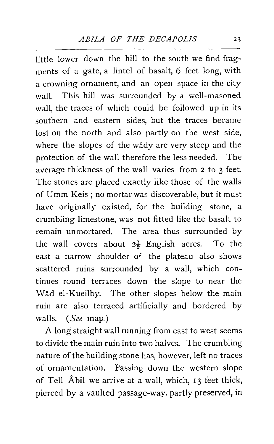little lower down the hill to the south we find fragments of a gate, a lintel of basalt, 6 feet long, with a crowning ornament, and an open space in the city wall. This hill was surrounded by a well-masoned . wall, the traces of which could be followed up in its southern and eastern sides, but the traces became lost on the north and also partly on the west side, where the slopes of the wady are very steep and the protection of the wall therefore the less needed. The average thickness of the wall varies from 2 to 3 feet. The stones are placed exactly like those of the walls of Umm Keis; no mortar was discoverable, but it must have originally existed, for the building stone, a crumbling limestone, was not fitted like the basalt to remain unmortared. The area thus surrounded by the wall covers about  $2\frac{1}{2}$  English acres. To the east a narrow shoulder of the plateau also shows scattered ruins surrounded by a wall, which continues round terraces down the slope to near the Wad el-Kueilby. The other slopes below the main ruin are also terraced artificially and bordered by walls. *(See* map.)

A long straight wall running from east to west seems to divide the main ruin into two halves. The crumbling nature of the building stone has, however, left no traces of ornamentation. Passing down the western slope of Tell Abil we arrive at a wall, which, 13 feet thick, pierced by a vaulted passage-way, partly preserved, in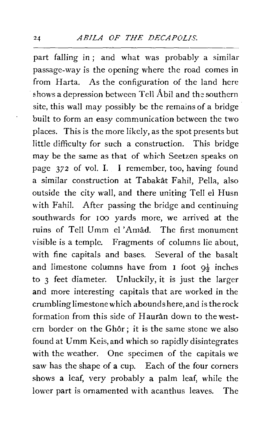part falling in ; and what was probably a similar passage-way is the opening where the road comes in from Harta. As the configuration of the land here shows a depression between Tell  $A$ bil and the southern site, this wall may possibly be the remains of a bridge built to form an easy communication between the two places. This is the more likely, as the spot presents but little difficulty for such a construction. This bridge may be the same as that of which Seetzen speaks on page *372* of vol. I. I remember, too, having found a similar construction at Tabakat Fahil, Pella, also outside the city wall, and there uniting Tell el Husn with Fahil. After passing the bridge and continuing southwards for 100 yards more, we arrived at the ruins of Tell Umm el 'Amad. The first monument visible is a temple. Fragments of columns lie about, with fine capitals and bases. Several of the basalt and limestone columns have from I foot  $9\frac{1}{2}$  inches to 3 feet diameter. Unluckily, it is just the larger and more interesting capitals that are worked in the crumbling limestone which abounds here, and is the rock formation from this side of Hauran down to the western border on the Ghôr; it is the same stone we also found at Umm Keis, and which so rapidly disintegrates with the weather. One specimen of the capitals we saw has the shape of a cup. Each of the four corners shows a leaf, very probably a palm leaf, while the lower part is ornamented with acanthus leaves. The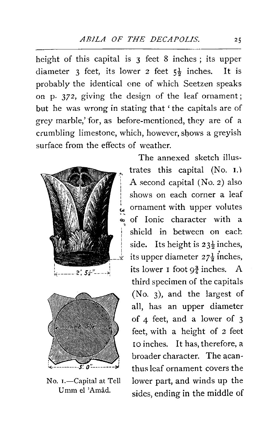height of this capital is 3 feet 8 inches; its upper diameter 3 feet, its lower 2 feet  $5\frac{1}{2}$  inches. It is probably the identical one of which Seetzen speaks on p. 372, giving the design of the leaf ornament; but he was wrong in stating that ' the capitals are of grey marble,' for, as before-mentioned, they are of a crumbling limestone, which, however, sbows a greyish surface from the effects of weather.





No. I.-Capital at Tell Umm el 'Amâd.

The annexed sketch illustrates this capital (No. 1.) A second capital (No. 2) also shows on each corner a leaf ornament with upper volutes of Ionic character with a shield in between on each. side. Its height is  $23\frac{1}{2}$  inches, its upper diameter  $27\frac{1}{9}$  inches. its lower **1** foot  $9\frac{3}{4}$  inches. A third specimen of the capitals (No. 3), and the largest of all, has an upper diameter of 4 feet, and a lower of 3 feet, with a height of 2 feet 10 inches. It has, therefore, a broader character. The acanthus leaf ornament covers the lower part, and winds up the sides, ending in the middle of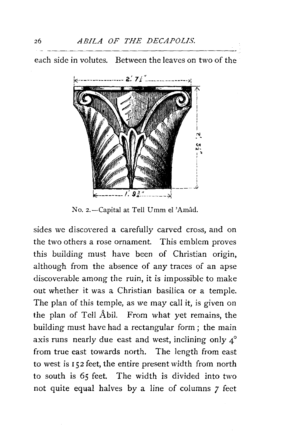each side in volutes. Between the leaves on two of the



No. 2.-Capital at Tell Umm el 'Amâd.

sides we discoyered a carefully carved cross, and on the two others a rose ornament. This emblem proves this building must have been of Christian origin, although from the absence of any traces of an apse discoverable among the ruin, it is impossible to make out whether it was a Christian basilica or a temple. The plan of this temple, as we may call it, is given on the plan of Tell AbiL From what yet remains, the building must have had a rectangular form ; the main axis runs nearly due east and west, inclining only  $4^\circ$ from true east towards north. The length from east to west is r *52* feet, the entire present width from north to south is *65* feet. The width is divided into two not quite equal halves by a line of columns 7 feet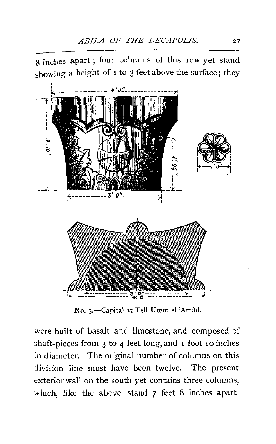g inches apart ; four columns of this row yet stand



No. 3.-Capital at Tell Umm el 'Amâd.

were built of basalt and limestone, and composed of shaft-pieces from 3 to 4 feet long, and I foot IO inches in diameter. The original number of columns on this division line must have been twelve. The present exterior wall on the south yet contains three columns, which, like the above, stand *7* feet 8 inches apart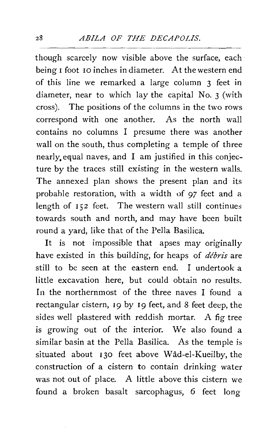though scarcely now visible above the surface, each being 1 foot 10 inches in diameter. At the western end of this line we remarked a large column 3 feet in diameter, near to which lay the capital No. 3 (with cross). The positions of the columns in the two rows correspond with one another. As the north wall contains no columns I presume there was another wall on the south, thus completing a temple of three nearly, equal naves, and I am justified in this conjecture by the traces still existing in the western walls. The annexed plan shows the present plan and its probable restoration, with a width of 97 feet and a length of 152 feet. The western wall still continues towards south and north, and may have been built round a yard, like that of the Pella Basilica.

It is not impossible that apses may originally have existed in this building, for heaps of *debris* are still to be seen at the eastern end. I undertook a little excavation here, but could obtain no results. In the northernmost of the three naves I found a rectangular cistern, 19 by 19 feet, and 8 feet deep, the sides well plastered with reddish mortar. A fig tree is growing out of the interior. We also found a similar basin at the Pella Basilica. As the temple is situated about 130 feet above Wad-el-Kueilby, the construction of a cistern to contain drinking water was not out of place. A little above this cistern we found a broken basalt sarcophagus, 6 feet long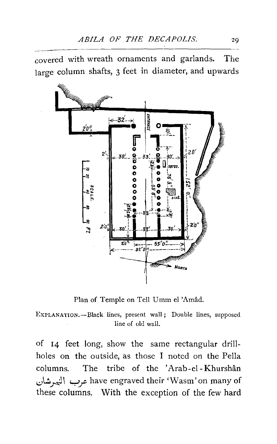covered with wreath ornaments and garlands. The large column shafts, 3 feet in diameter, and upwards



Plan of Temple on Tell Umm el 'Amad.

ExPLANATION.-Black lines, present wall; Double lines, supposed line of old wall.

of 14 feet long, show the same rectangular drillholes on the outside, as those I noted on the Pella columns. The tribe of the 'Arab-el-Khurshân 1.:.>\~~~ Yr have engraved their 'Wasm' on many of these columns. With the exception of the few hard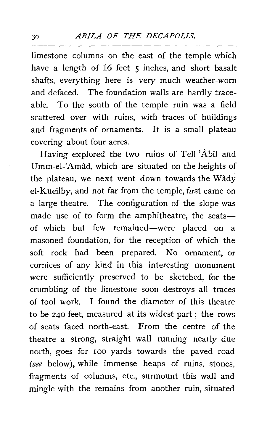limestone columns on the east of the temple which have a length of 16 feet 5 inches, and short basalt shafts, everything here is very much weather-worn and defaced. The foundation walls are hardly traceable. To the south of the temple ruin was a field scattered over with ruins, with traces of buildings and fragments of ornaments. It is a small plateau covering about four acres.

Having explored the two ruins of Tell 'Abil and Umm-el-'Amad, which are situated on the heights of the plateau, we next went down towards the Wady el-Kueilby, and not far from the temple, first came on a large theatre. The configuration of the slope was made use of to form the amphitheatre, the seatsof which but few remained-were placed on a masoned foundation, for the reception of which the soft rock had been prepared. No ornament, or cornices of any kind in this interesting monument were sufficiently preserved to be sketched, for the crumbling of the limestone soon destroys all traces of tool work. I found the diameter of this theatre to be 240 feet, measured at its widest part ; the rows of seats faced north-east. From the centre of the theatre a strong, straight wall running nearly due north, goes for 100 yards towards the paved road *(see* below), while immense heaps of ruins, stones, fragments of columns, etc., surmount this wall and mingle with the remains from another ruin, situated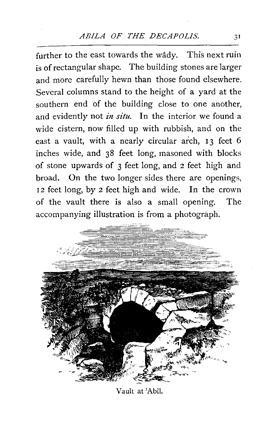further to the east towards the wady. This next ruin is of rectangular shape. The building stones are larger and more carefully hewn than those found elsewhere. Several columns stand to the height of a yard at the southern end of the building close to one another, and evidently not *in situ.* In the interior we found a wide cistern, now filled up with rubbish, and on the east a vault, with a nearly circular arch, 13 feet 6 inches wide, and 38 feet long, masoned with blocks of stone upwards of 3 feet long, and 2 feet high and broad. On the two longer sides there are openings, 12 feet long, by 2 feet high and wide. In the crown of the vault there is also a small opening. The accompanying illustration is from a photograph.



Vault at 'Abi!.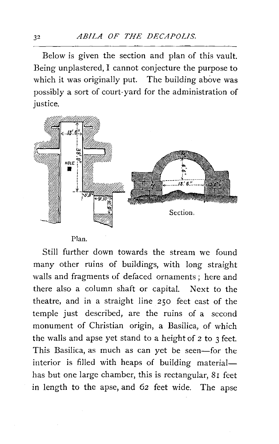Below is given the section and plan of this vault. Being unplastered, I cannot conjecture the purpose to which it was originally put. The building above was possibly a sort of court-yard for the administration of justice.



Plan.

Still further down towards the stream we found many other ruins of buildings, with long straight walls and fragments of defaced ornaments; here and there also a column shaft or capital. Next to the theatre, and in a straight line 250 feet east of the temple just described, are the ruins of a second monument of Christian origin, a Basilica, of which the walls and apse yet stand to a height of 2 to 3 feet. This Basilica, as much as can yet be seen-for the interior is filled with heaps of building materialhas but one large chamber, this is rectangular, 81 feet in length to the apse, and 62 feet wide. The apse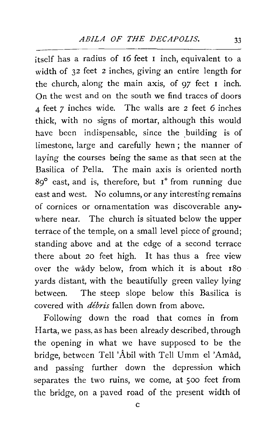itself has a radius of I6 feet I inch, equivalent to a width of 32 feet 2 inches, giving an entire length for the church, along the main axis, of *97* feet I inch. On the west and on the south we find traces of doors 4 feet *7* inches wide. The walls are 2 feet 6 inches thick, with no signs of mortar, although this would have been indispensable, since the building is of limestone, large and carefully hewn ; the manner of laying the courses being the same as that seen at the Basilica of Pella. The main axis is oriented north  $89^\circ$  east, and is, therefore, but  $I^\circ$  from running due east and west. No columns, or any interesting remains of cornices or ornamentation was discoverable anywhere near. The church is situated below the upper terrace of the temple, on a small level piece of ground; standing above and at the edge of a second terrace there about 20 feet high. It has thus a free view over the wady below, from which it is about ISO yards distant, with the beautifully green valley lying between. The steep slope below this Basilica is covered with *debris* fallen down from above.

Following down the road that comes in from Harta, we pass, as has been already described, through the opening in what we have supposed to be the bridge, between Tell 'Abil with Tell Umm e1 'Amad, and passing further down the depression which separates the two ruins, we come, at 500 feet from the bridge, on a paved road of the present width of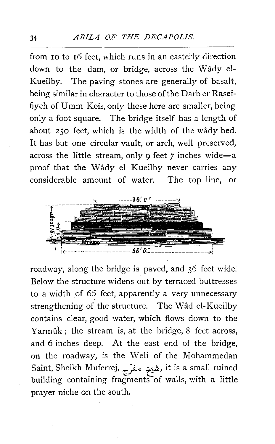from 10 to 16 feet, which runs in an easterly direction down to the dam, or bridge, across the Wady el-Kueilby. The paving stones are generally of basalt, being similar in character to those of the Darb er Raseifiyeh of Umm Keis, only these here are smaller, being only a foot square. The bridge itself has a length of about 250 feet, which is the width of the wady bed. It has but one circular vault, or arch, well preserved, across the little stream, only 9 feet 7 inches wide-a proof that the Wady el Kueilby never carries any considerable amount of water. The top line, or



roadway, along the bridge is paved, and 36 feet wide. Below the structure widens out by terraced buttresses to a width of *65* feet, apparently a very unnecessary strengthening of the structure. The Wad el-Kueilby contains clear, good water, which flows down to the Yarmûk; the stream is, at the bridge, 8 feet across, and 6 inches deep. At the east end of the bridge, on the roadway, is the Weli of the Mohammedan Saint, Sheikh Muferrej, ~ ~.!., it is a small ruined building containing fragments of walls, with a little prayer niche on the south.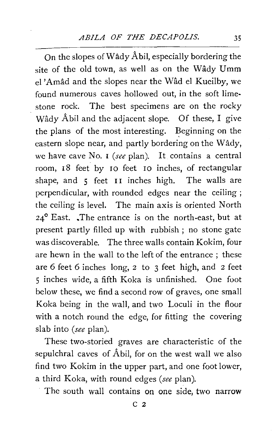On the slopes of Wady Abil, especially bordering the site of the old town, as well as on the Wâdy Umm el 'Amad and the slopes near the Wad el Kueilby, we found numerous caves hollowed out, in the soft limestone rock. The best specimens are on the rocky Wâdy Âbil and the adjacent slope. Of these, I give the plans of the most interesting. Beginning on the eastern slope near, and partly bordering on the Wady, we have cave No. I *(see* plan). It contains a central room, 18 feet by 10 feet 10 inches, of rectangular shape, and 5 feet II inches high. The walls are perpendicular, with rounded edges near the ceiling ; the ceiling is level. The main axis is oriented North 24° East. .The entrance is on the north-east, but at present partly filled up with rubbish ; no stone gate was discoverable. The three walls contain Kokim, four are hewn in the wall to the left of the entrance ; these are 6 feet 6 inches long, 2 to 3 feet high, and 2 feet *5* inches wide, a fifth Koka is unfinished. One foot below these, we find a second row of graves, one small Koka being in the wall, and two Loculi in the floor with a notch round the edge, for fitting the covering slab into *(see* plan).

These two-storied graves are characteristic of the sepulchral caves of Abil, for on the west wall we also find two Kokim in the upper part, and one foot lower, a third Koka, with round edges *(see* plan).

The south wall contains on one side, two narrow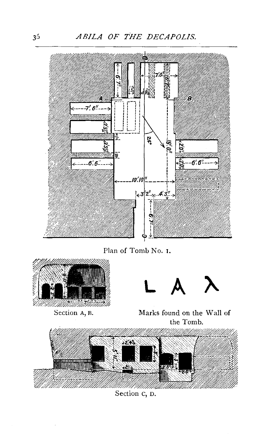*ABILA OF THE DECAPOLIS.* 



Plan of Tomb No. 1.



Section A, R.

L A





Section c, D.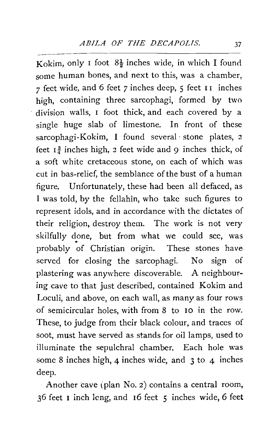Kokim, only I foot  $8\frac{1}{2}$  inches wide, in which I found some human bones, and next to this, was a chamber, *7* feet wide, and 6 feet *7* inches deep, 5 feet I I inches high, containing three sarcophagi, formed by two division walls, I foot thick, and each covered by a single huge slab of limestone. In front of these sarcophagi-Kokim, I found several· stone plates, 2 feet  $I_4^3$  inches high, 2 feet wide and 9 inches thick, of a soft white cretaceous stone, on each of which was cut in has-relief, the semblance of the bust of a human figure. Unfortunately, these had been all defaced, as I was told, by the fellahin, who take such figures to represent idols, and in accordance with the dictates of their religion, destroy them. The work is not very skilfully done, but from what we could see, was probably of Christian origin. These stones have served for closing the sarcophagi. No sign of plastering was anywhere discoverable. A neighbouring cave to that just described, contained Kokim and Loculi, and above, on each wall, as many as four rows of semicircular holes, with from 8 to IO in the row. These, to judge from their black colour, and traces of soot, must have served as stands for oil lamps, used to illuminate the sepulchral chamber. Each hole was some 8 inches high, 4 inches wide, and 3 to 4 inches deep.

Another cave (plan No. 2) contains a central room, 36 feet 1 inch long, and r6 feet 5 inches wide, 6 feet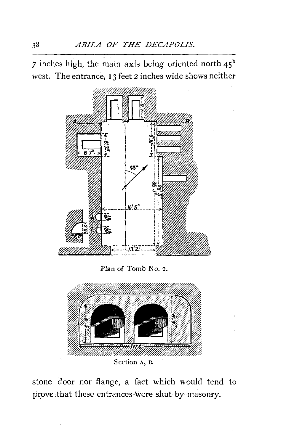*7* inches high, the main axis being oriented north 45° west. The entrance, 13 feet 2 inches wide shows neither



Section A, B.

stone door nor flange, a fact which would tend to prove that these entrances-were shut by masonry.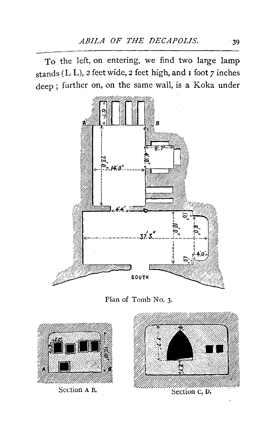To the left, on entering, we find two large lamp stands (L L), 2 feet wide, 2 feet high, and 1 foot *7* inches deep; further on, on the same wall, is a Koka under



Plan of Tomb No. 3.

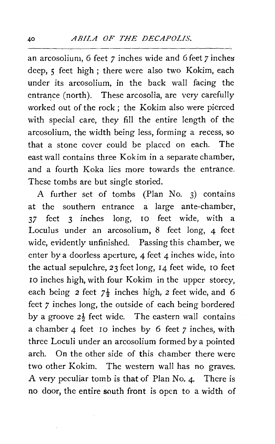an arcosolium, 6 feet *7* inches wide and 6 feet *7* inches deep, 5 feet high ; there were also two Kokim, each under its arcosolium, in the back wall facing the entrance (north). These arcosolia, are very carefully worked out of the rock ; the Kokim also were pierced with special care, they fill the entire length of the arcosolium, the width being less, forming a recess, so that a stone cover could be placed on each. The east wall contains three Kokim in a separate chamber, and a fourth Koka lies more towards the entrance. These tombs are but single storied.

A further set of tombs (Plan No. 3) contains at the southern entrance a large ante-chamber, *37* feet 3 inches long, 10 feet wide, with a Loculus under an arcosolium, 8 feet long, 4 feet wide, evidently unfinished. Passing this chamber, we enter by a doorless aperture, 4 feet  $\alpha$  inches wide, into the actual sepulchre, *23* feet long, 14 feet wide, 10 feet 10 inches high, with four Kokim in the upper storey, each being  $2 \text{ feet } 7\frac{1}{2}$  inches high,  $2 \text{ feet wide, and } 6$ feet *7* inches long, the outside of each being bordered by a groove  $2\frac{1}{2}$  feet wide. The eastern wall contains a chamber 4 feet ro inches by 6 feet *7* inches, with three Loculi under an arcosolium formed by a pointed arch. On the other side of this chamber there were two other Kokim. The western wall has no graves. A very peculiar tomb is that of Plan No. 4. There is no door, the entire south front is open to a width of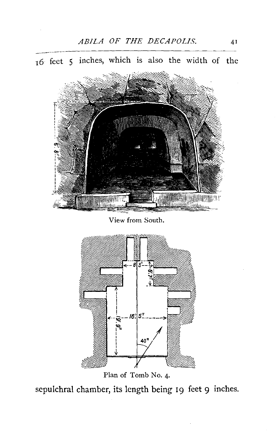

View from South.

**MANITANI** limit



Plan of Tomb No. 4·

sepulchral chamber, its length being 19 feet 9 inches.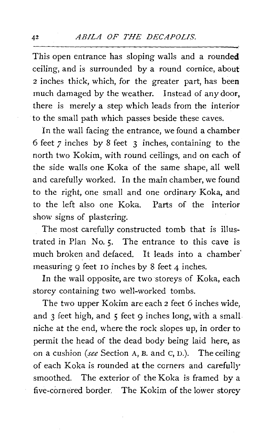This open entrance has sloping walls and a rounded ceiling, and is surrounded by a round cornice, about <sup>2</sup>inches thick, which, for the greater part, has been much damaged by the weather. Instead of any door, there is merely a step which leads from the interior to the small path which passes beside these caves.

In the wall facing the entrance, we found a chamber 6 feet *7* inches by 8 feet 3 inches, containing to the north two Kokim, with round ceilings, and on each of the side walls one Koka of the same shape, all well and carefully worked. In the main chamber, we found to the right, one small and one ordinary Koka, and to the left also one Koka. Parts of the interior show signs of plastering.

The most carefully constructed tomb that is illustrated in Plan No. 5. The entrance to this cave is much broken and defaced. It leads into a chamber" measuring 9 feet IO inches by 8 feet 4 inches.

In the wall opposite, are two storeys of Koka, each storey containing two well-worked tombs.

The two upper Kokim are each 2 feet 6 inches wide, and  $3$  feet high, and  $5$  feet  $9$  inches long, with a small niche at the end, where the rock slopes up, in order to permit the head of the dead body being laid here, as on a cushion *(see* Section A, B. and c, D.). The ceiling of each Koka is rounded at the corners and carefully smoothed. The exterior of the Koka is framed by a five-cornered border. The Kokim of the lower storey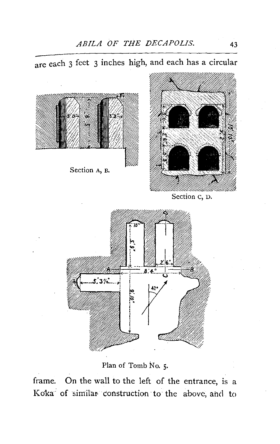are each 3 feet 3 inches high, and each has a circular



Section A, B.



Section c, D.



Plan of Tomb No. 5.

frame. On the wall to the left of the entrance, is a Koka of similar construction to the above, and to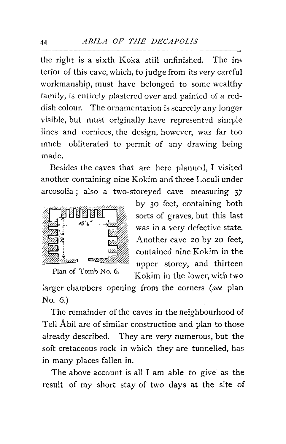the right is a sixth Koka still unfinished. The in' terior of this cave, which, to judge from its very careful workmanship, must have belonged to some wealthy family, is entirely plastered over and painted of a reddish colour. The ornamentation is scarcely any longer visible, but must originally have represented simple lines and cornices, the design, however, was far too much obliterated to permit of any drawing being made.

Besides the caves that are here planned, I visited another containing nine Kokim and three Loculi under arcosolia ; also a two-storeyed cave measuring *37* 



by 30 feet, containing both sorts of graves, but this last was in a very defective state. Another cave 20 by 20 feet, contained nine Kokim in the upper storey, and thirteen Plan of Tomb No. 6. Kokim in the lower, with two

larger chambers opening from the corners *(see* plan No. 6.)

The remainder of the caves in the neighbourhood of Tell Abil are of similar construction and plan to those already described. They are very numerous, but the soft cretaceous rock in which they are tunnelled, has in many places fallen in.

The above account is all I am able to give as the result of my short stay of two days at the site of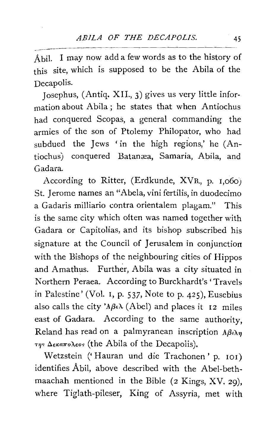Abil. I may now add a few words as to the history of this site, which is supposed to be the Abila of the Decapolis.

Josephus, (Antiq. XII., 3) gives us very little information about Abila ; he states that when Antiochus had conquered Scopas, a general commanding the armies of the son of Ptolemy Philopator, who had subdued the Jews 'in the high regions,' he (Antiochus) conquered Batanæa, Samaria, Abila, and Gadara.

According to Ritter, (Erdkunde, XVB., p. 1,o6o) St. Jerome names an "Abela, vini fertilis, in duodecimo a Gadaris milliario contra orientalem plagam." This is the same city which often was named together with Gadara or Capitolias, and its bishop subscribed his signature at the Council of Jerusalem in conjunction with the Bishops of the neighbouring cities of Hippos and Amathus. Further, Abila was a city situated in Northern Peraea. According to Burckhardt's 'Travels in Palestine' (Vol. 1, p. 537, Note to p. 425), Eusebius also calls the city ' $A\beta \in \lambda$  (Abel) and places it 12 miles east of Gadara. According to the same authority, Reland has read on a palmyranean inscription  $A\beta \iota \lambda \eta$  $\tau_{\eta}$ <sup>5</sup>  $\Delta$ <sub>6</sub>*ka* $\pi$ *o* $\lambda$ *<sub>6</sub>o*<sup>5</sup> (the Abila of the Decapolis).

Wetzstein (' Hauran und die Trachonen' p. 101) identifies Abil, above described with the Abel-bethmaachah mentioned in the Bible (2 Kings, XV. 29), where Tiglath-pileser, King of Assyria, met with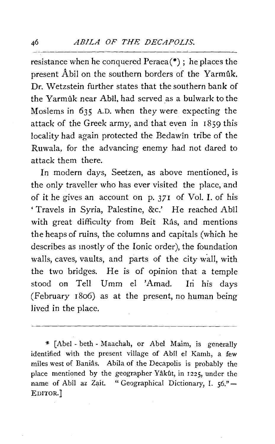### <sup>46</sup>*ABILA OF THE DECAPOLIS.*

resistance when he conquered Peraea(\*) ; he places the present  $\hat{A}$  bil on the southern borders of the Yarmuk. Dr. Wetzstein further states that the southern bank of the Yarmûk near Abîl, had served as a bulwark to the Moslems in 635 A.D. when they were expecting the attack of the Greek army, and that even in 1859 this locality had again protected the Bedawin tribe of the Ruwala, for the advancing enemy had not dared to attack them there.

In modern days, Seetzen, as above mentioned, is the only traveller who has ever visited the place, and of it he gives an account on p. 371 of Vol. I. of his ' Travels in Syria, Palestine, &c.' He reached Abil with great difficulty from Beit Râs, and mentions the heaps of ruins, the columns and capitals (which he describes as mostly of the Ionic order), the foundation walls, caves, vaults, and parts of the city wall, with the two bridges. He is of opinion that a temple stood on Tell Umm el 'Amad. In his days (February 1806) as at the present, no human being Jived in the place.

\* (Abel- beth- Maachah, or Abel Maim, is generally identified with the present village of Abil el Kamh, a few miles west of Baniâs. Abila of the Decapolis is probably the place mentioned by the geographer Yâkût, in 1225, under the name of Abîl az Zait. " Geographical Dictionary, I. 56."-EDITOR.]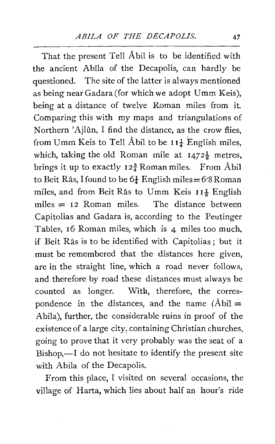That the present Tell Abil is to be identified with the ancient Abila of the Decapolis, can hardly be questioned. The site of the latter is always mentioned as being near Gadara (for which we adopt Umm Keis), being at a distance of twelve Roman miles from it. Comparing this with my maps and triangulations of Northern 'Ajlûn, I find the distance, as the crow flies, from Umm Keis to Tell Âbil to be  $I I^{\perp}_{\pm}$  English miles, which, taking the old Roman mile at  $1472\frac{1}{2}$  metres, brings it up to exactly  $12\frac{3}{4}$  Roman miles. From Abil to Beit Râs, I found to be  $6\frac{1}{4}$  English miles = 6.8 Roman miles, and from Beit Râs to Umm Keis 11<sup>1</sup> English miles  $= 12$  Roman miles. The distance between Capitolias and Gadara is, according to the Peutinger Tables, I6 Roman miles, which is 4 miles too much, if Beit Ras is to be identified with Capitolias ; but it must be remembered that the distances here given, are in the straight line, which a road never follows, and therefore by road these distances must always be counted as longer. With, therefore, the correspondence in the distances, and the name  $(\hat{A}bi]$  = Abila), further, the considerable ruins in proof of the existence of a large city, containing Christian churches, going to prove that it very probably was the seat of a  $Bishop, -I$  do not hesitate to identify the present site with Abila of the Decapolis.

From this place, I visited on several occasions, the village of Harta, which lies about half an hour's ride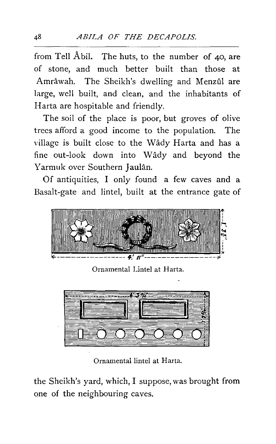from Tell Abil. The huts, to the number of 40, are of stone, and much better built than those at Amrâwah. The Sheikh's dwelling and Menzûl are large, well built, and clean, and the inhabitants of Harta are hospitable and friendly.

The soil of the place is poor, but groves of olive trees afford a good income to the population. The village is built close to the Wady Harta and has a fine out-look down into Wady and beyond the Yarmuk over Southern Jaulan.

Of antiquities, I only found a few caves and a Basalt-gate and lintel, built at the entrance gate of



Ornamental Lintel at Harta.



Ornamental lintel at Harta.

the Sheikh's yard, which, I suppose, was brought from one of the neighbouring caves.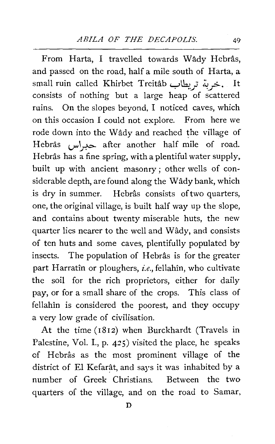From Harta, I travelled towards Wâdy Hebrâs, and passed on the road, half a mile south of Harta, a small ruin called Khirbet Treitâb خربة تريطاب. It consists of nothing but a large heap of scattered ruins. On the slopes beyond, I noticed caves, which on this occasion I could not explore. From here we rode down into the Wâdy and reached the village of Hebrâs حبراس after another half mile of road. Hebrâs has a fine spring, with a plentiful water supply, built up with ancient masonry; other wells of considerable depth, are found along the Wady bank, which is dry in summer. Hebrâs consists of two quarters, one, the original village, is built half way up the slope, and contains about twenty miserable huts, the new quarter lies nearer to the well and Wady, and consists of ten huts and some caves, plentifully populated by insects. The population of Hebrâs is for the greater part Harratin or ploughers, *i.e.,* fellahin, who cultivate the soil for the rich proprietors, either for daily pay, or for a small share of the crops. This class of fellahin is considered the poorest, and they occupy a very low grade of civilisation.

At the time (1812) when Burckhardt (Travels in Palestine, Vol. I., p.  $425$ ) visited the place, he speaks of Hebras as the most prominent village of the district of El Kefarât, and says it was inhabited by a number of Greek Christians. Between the two quarters of the village, and on the road to Samar,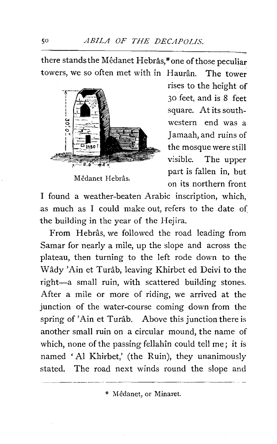there stands the Mêdanet Hebrâs,\*one of those peculiar towers, we so often met with in Haurân. The tower



Mêdanet Hebrâs.

rises to the height of 30 feet, and is 8 feet square. At its southwestern end was a Jamaah, and ruins of the mosque were still visible. The upper part is fallen in, but on its northern front

I found a weather-beaten Arabic inscription, which, as much as I could make out, refers to the date of the building in the year of the Hejira.

From Hebrâs, we followed the road leading from Samar for nearly a mile, up the slope and across the plateau, then turning to the left rode down to the Wady 'Ain et Turab, leaving Khirbet ed Deivi to the right-a small ruin, with scattered building stones. After a mile or more of riding, we arrived at the junction of the water-course coming down from the spring of 'Ain et Turâb. Above this junction there is another small ruin on a circular mound, the name of which, none of the passing fellahin could tell me; it is named 'Al Khirbet,' (the Ruin), they unanimously stated. The road next winds round the slope and

\* Medanet, or Minaret.